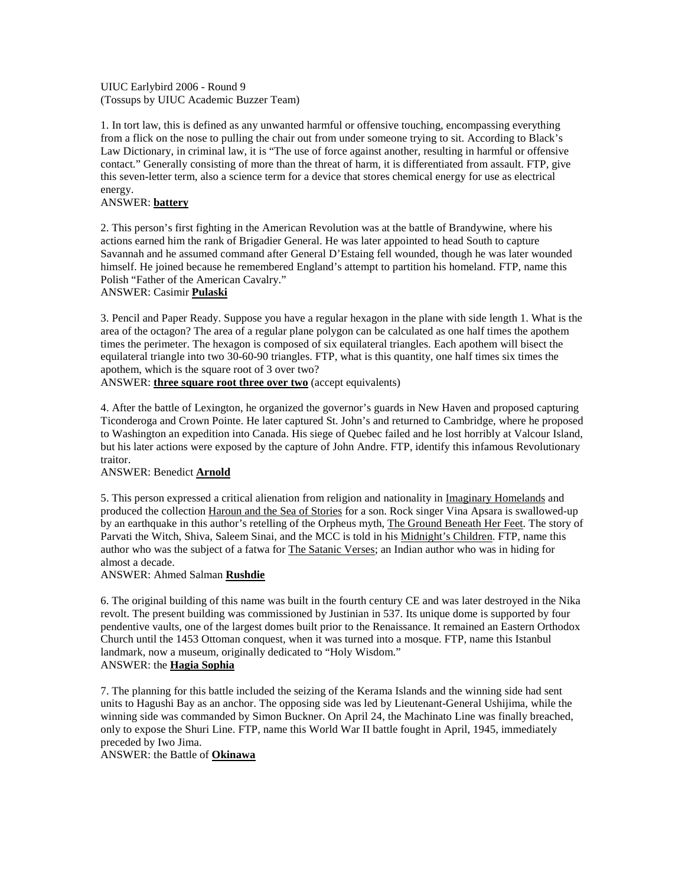UIUC Earlybird 2006 - Round 9 (Tossups by UIUC Academic Buzzer Team)

1. In tort law, this is defined as any unwanted harmful or offensive touching, encompassing everything from a flick on the nose to pulling the chair out from under someone trying to sit. According to Black's Law Dictionary, in criminal law, it is "The use of force against another, resulting in harmful or offensive contact." Generally consisting of more than the threat of harm, it is differentiated from assault. FTP, give this seven-letter term, also a science term for a device that stores chemical energy for use as electrical energy.

### ANSWER: **battery**

2. This person's first fighting in the American Revolution was at the battle of Brandywine, where his actions earned him the rank of Brigadier General. He was later appointed to head South to capture Savannah and he assumed command after General D'Estaing fell wounded, though he was later wounded himself. He joined because he remembered England's attempt to partition his homeland. FTP, name this Polish "Father of the American Cavalry."

#### ANSWER: Casimir **Pulaski**

3. Pencil and Paper Ready. Suppose you have a regular hexagon in the plane with side length 1. What is the area of the octagon? The area of a regular plane polygon can be calculated as one half times the apothem times the perimeter. The hexagon is composed of six equilateral triangles. Each apothem will bisect the equilateral triangle into two 30-60-90 triangles. FTP, what is this quantity, one half times six times the apothem, which is the square root of 3 over two?

ANSWER: **three square root three over two** (accept equivalents)

4. After the battle of Lexington, he organized the governor's guards in New Haven and proposed capturing Ticonderoga and Crown Pointe. He later captured St. John's and returned to Cambridge, where he proposed to Washington an expedition into Canada. His siege of Quebec failed and he lost horribly at Valcour Island, but his later actions were exposed by the capture of John Andre. FTP, identify this infamous Revolutionary traitor.

## ANSWER: Benedict **Arnold**

5. This person expressed a critical alienation from religion and nationality in Imaginary Homelands and produced the collection Haroun and the Sea of Stories for a son. Rock singer Vina Apsara is swallowed-up by an earthquake in this author's retelling of the Orpheus myth, The Ground Beneath Her Feet. The story of Parvati the Witch, Shiva, Saleem Sinai, and the MCC is told in his Midnight's Children. FTP, name this author who was the subject of a fatwa for The Satanic Verses; an Indian author who was in hiding for almost a decade.

#### ANSWER: Ahmed Salman **Rushdie**

6. The original building of this name was built in the fourth century CE and was later destroyed in the Nika revolt. The present building was commissioned by Justinian in 537. Its unique dome is supported by four pendentive vaults, one of the largest domes built prior to the Renaissance. It remained an Eastern Orthodox Church until the 1453 Ottoman conquest, when it was turned into a mosque. FTP, name this Istanbul landmark, now a museum, originally dedicated to "Holy Wisdom." ANSWER: the **Hagia Sophia**

7. The planning for this battle included the seizing of the Kerama Islands and the winning side had sent units to Hagushi Bay as an anchor. The opposing side was led by Lieutenant-General Ushijima, while the winning side was commanded by Simon Buckner. On April 24, the Machinato Line was finally breached, only to expose the Shuri Line. FTP, name this World War II battle fought in April, 1945, immediately preceded by Iwo Jima.

ANSWER: the Battle of **Okinawa**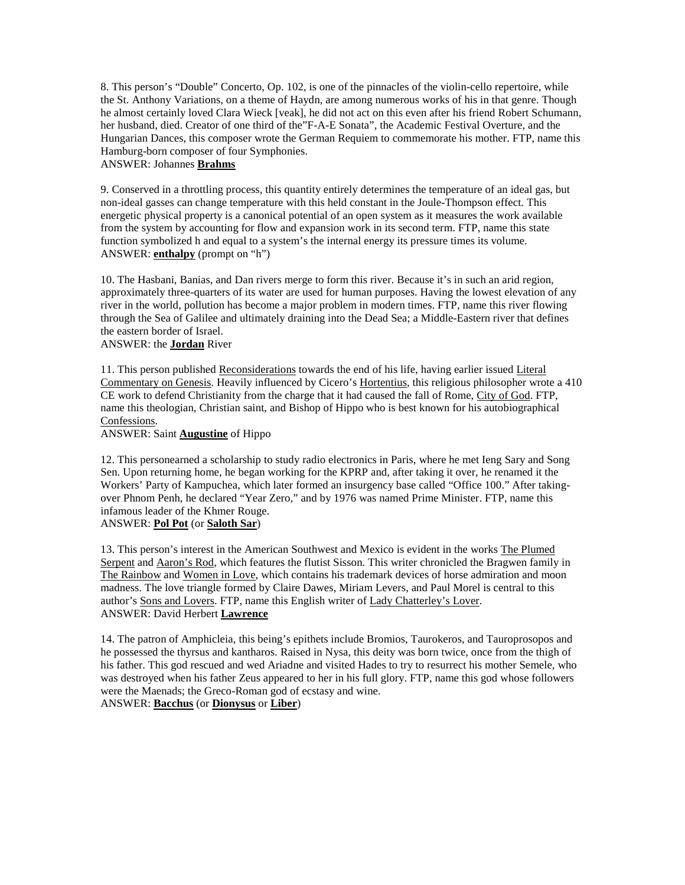8. This person's "Double" Concerto, Op. 102, is one of the pinnacles of the violin-cello repertoire, while the St. Anthony Variations, on a theme of Haydn, are among numerous works of his in that genre. Though he almost certainly loved Clara Wieck [veak], he did not act on this even after his friend Robert Schumann, her husband, died. Creator of one third of the"F-A-E Sonata", the Academic Festival Overture, and the Hungarian Dances, this composer wrote the German Requiem to commemorate his mother. FTP, name this Hamburg-born composer of four Symphonies.

# ANSWER: Johannes **Brahms**

9. Conserved in a throttling process, this quantity entirely determines the temperature of an ideal gas, but non-ideal gasses can change temperature with this held constant in the Joule-Thompson effect. This energetic physical property is a canonical potential of an open system as it measures the work available from the system by accounting for flow and expansion work in its second term. FTP, name this state function symbolized h and equal to a system's the internal energy its pressure times its volume. ANSWER: **enthalpy** (prompt on "h")

10. The Hasbani, Banias, and Dan rivers merge to form this river. Because it's in such an arid region, approximately three-quarters of its water are used for human purposes. Having the lowest elevation of any river in the world, pollution has become a major problem in modern times. FTP, name this river flowing through the Sea of Galilee and ultimately draining into the Dead Sea; a Middle-Eastern river that defines the eastern border of Israel.

# ANSWER: the **Jordan** River

11. This person published Reconsiderations towards the end of his life, having earlier issued Literal Commentary on Genesis. Heavily influenced by Cicero's Hortentius, this religious philosopher wrote a 410 CE work to defend Christianity from the charge that it had caused the fall of Rome, City of God. FTP, name this theologian, Christian saint, and Bishop of Hippo who is best known for his autobiographical Confessions.

### ANSWER: Saint **Augustine** of Hippo

12. This personearned a scholarship to study radio electronics in Paris, where he met Ieng Sary and Song Sen. Upon returning home, he began working for the KPRP and, after taking it over, he renamed it the Workers' Party of Kampuchea, which later formed an insurgency base called "Office 100." After takingover Phnom Penh, he declared "Year Zero," and by 1976 was named Prime Minister. FTP, name this infamous leader of the Khmer Rouge.

## ANSWER: **Pol Pot** (or **Saloth Sar**)

13. This person's interest in the American Southwest and Mexico is evident in the works The Plumed Serpent and Aaron's Rod, which features the flutist Sisson. This writer chronicled the Bragwen family in The Rainbow and Women in Love, which contains his trademark devices of horse admiration and moon madness. The love triangle formed by Claire Dawes, Miriam Levers, and Paul Morel is central to this author's Sons and Lovers. FTP, name this English writer of Lady Chatterley's Lover. ANSWER: David Herbert **Lawrence**

14. The patron of Amphicleia, this being's epithets include Bromios, Taurokeros, and Tauroprosopos and he possessed the thyrsus and kantharos. Raised in Nysa, this deity was born twice, once from the thigh of his father. This god rescued and wed Ariadne and visited Hades to try to resurrect his mother Semele, who was destroyed when his father Zeus appeared to her in his full glory. FTP, name this god whose followers were the Maenads; the Greco-Roman god of ecstasy and wine. ANSWER: **Bacchus** (or **Dionysus** or **Liber**)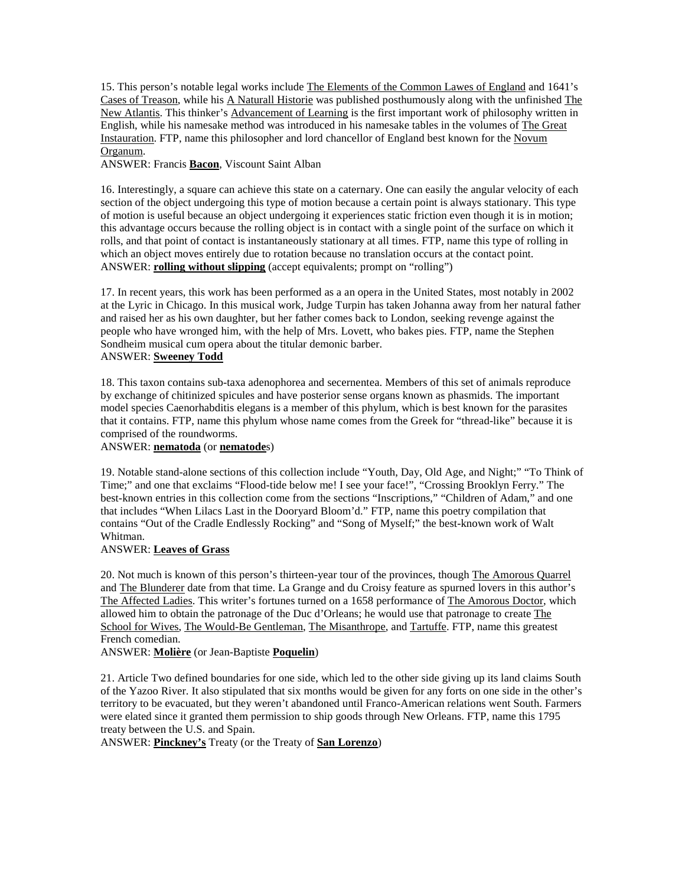15. This person's notable legal works include The Elements of the Common Lawes of England and 1641's Cases of Treason, while his A Naturall Historie was published posthumously along with the unfinished The New Atlantis. This thinker's Advancement of Learning is the first important work of philosophy written in English, while his namesake method was introduced in his namesake tables in the volumes of The Great Instauration. FTP, name this philosopher and lord chancellor of England best known for the Novum Organum.

ANSWER: Francis **Bacon**, Viscount Saint Alban

16. Interestingly, a square can achieve this state on a caternary. One can easily the angular velocity of each section of the object undergoing this type of motion because a certain point is always stationary. This type of motion is useful because an object undergoing it experiences static friction even though it is in motion; this advantage occurs because the rolling object is in contact with a single point of the surface on which it rolls, and that point of contact is instantaneously stationary at all times. FTP, name this type of rolling in which an object moves entirely due to rotation because no translation occurs at the contact point. ANSWER: **rolling without slipping** (accept equivalents; prompt on "rolling")

17. In recent years, this work has been performed as a an opera in the United States, most notably in 2002 at the Lyric in Chicago. In this musical work, Judge Turpin has taken Johanna away from her natural father and raised her as his own daughter, but her father comes back to London, seeking revenge against the people who have wronged him, with the help of Mrs. Lovett, who bakes pies. FTP, name the Stephen Sondheim musical cum opera about the titular demonic barber. ANSWER: **Sweeney Todd**

18. This taxon contains sub-taxa adenophorea and secernentea. Members of this set of animals reproduce by exchange of chitinized spicules and have posterior sense organs known as phasmids. The important model species Caenorhabditis elegans is a member of this phylum, which is best known for the parasites that it contains. FTP, name this phylum whose name comes from the Greek for "thread-like" because it is comprised of the roundworms.

### ANSWER: **nematoda** (or **nematode**s)

19. Notable stand-alone sections of this collection include "Youth, Day, Old Age, and Night;" "To Think of Time;" and one that exclaims "Flood-tide below me! I see your face!", "Crossing Brooklyn Ferry." The best-known entries in this collection come from the sections "Inscriptions," "Children of Adam," and one that includes "When Lilacs Last in the Dooryard Bloom'd." FTP, name this poetry compilation that contains "Out of the Cradle Endlessly Rocking" and "Song of Myself;" the best-known work of Walt Whitman.

## ANSWER: **Leaves of Grass**

20. Not much is known of this person's thirteen-year tour of the provinces, though The Amorous Quarrel and The Blunderer date from that time. La Grange and du Croisy feature as spurned lovers in this author's The Affected Ladies. This writer's fortunes turned on a 1658 performance of The Amorous Doctor, which allowed him to obtain the patronage of the Duc d'Orleans; he would use that patronage to create The School for Wives, The Would-Be Gentleman, The Misanthrope, and Tartuffe. FTP, name this greatest French comedian.

ANSWER: **Molière** (or Jean-Baptiste **Poquelin**)

21. Article Two defined boundaries for one side, which led to the other side giving up its land claims South of the Yazoo River. It also stipulated that six months would be given for any forts on one side in the other's territory to be evacuated, but they weren't abandoned until Franco-American relations went South. Farmers were elated since it granted them permission to ship goods through New Orleans. FTP, name this 1795 treaty between the U.S. and Spain.

ANSWER: **Pinckney's** Treaty (or the Treaty of **San Lorenzo**)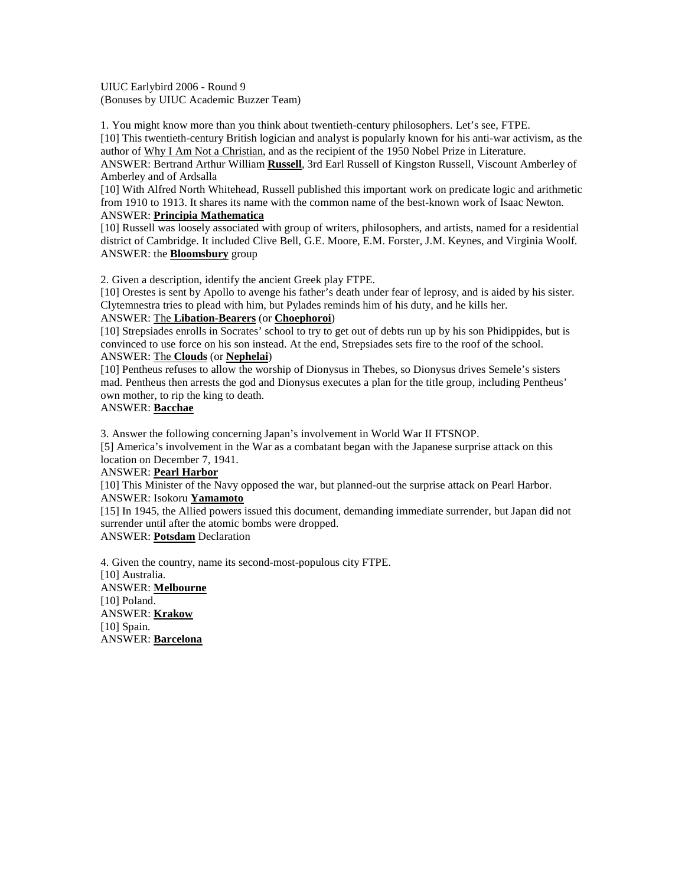UIUC Earlybird 2006 - Round 9 (Bonuses by UIUC Academic Buzzer Team)

1. You might know more than you think about twentieth-century philosophers. Let's see, FTPE.

[10] This twentieth-century British logician and analyst is popularly known for his anti-war activism, as the author of Why I Am Not a Christian, and as the recipient of the 1950 Nobel Prize in Literature.

ANSWER: Bertrand Arthur William **Russell**, 3rd Earl Russell of Kingston Russell, Viscount Amberley of Amberley and of Ardsalla

[10] With Alfred North Whitehead, Russell published this important work on predicate logic and arithmetic from 1910 to 1913. It shares its name with the common name of the best-known work of Isaac Newton. ANSWER: **Principia Mathematica**

[10] Russell was loosely associated with group of writers, philosophers, and artists, named for a residential district of Cambridge. It included Clive Bell, G.E. Moore, E.M. Forster, J.M. Keynes, and Virginia Woolf. ANSWER: the **Bloomsbury** group

2. Given a description, identify the ancient Greek play FTPE.

[10] Orestes is sent by Apollo to avenge his father's death under fear of leprosy, and is aided by his sister. Clytemnestra tries to plead with him, but Pylades reminds him of his duty, and he kills her.

## ANSWER: The **Libation-Bearers** (or **Choephoroi**)

[10] Strepsiades enrolls in Socrates' school to try to get out of debts run up by his son Phidippides, but is convinced to use force on his son instead. At the end, Strepsiades sets fire to the roof of the school. ANSWER: The **Clouds** (or **Nephelai**)

[10] Pentheus refuses to allow the worship of Dionysus in Thebes, so Dionysus drives Semele's sisters mad. Pentheus then arrests the god and Dionysus executes a plan for the title group, including Pentheus' own mother, to rip the king to death.

# ANSWER: **Bacchae**

3. Answer the following concerning Japan's involvement in World War II FTSNOP.

[5] America's involvement in the War as a combatant began with the Japanese surprise attack on this location on December 7, 1941.

## ANSWER: **Pearl Harbor**

[10] This Minister of the Navy opposed the war, but planned-out the surprise attack on Pearl Harbor. ANSWER: Isokoru **Yamamoto**

[15] In 1945, the Allied powers issued this document, demanding immediate surrender, but Japan did not surrender until after the atomic bombs were dropped.

ANSWER: **Potsdam** Declaration

4. Given the country, name its second-most-populous city FTPE. [10] Australia. ANSWER: **Melbourne** [10] Poland. ANSWER: **Krakow** [10] Spain. ANSWER: **Barcelona**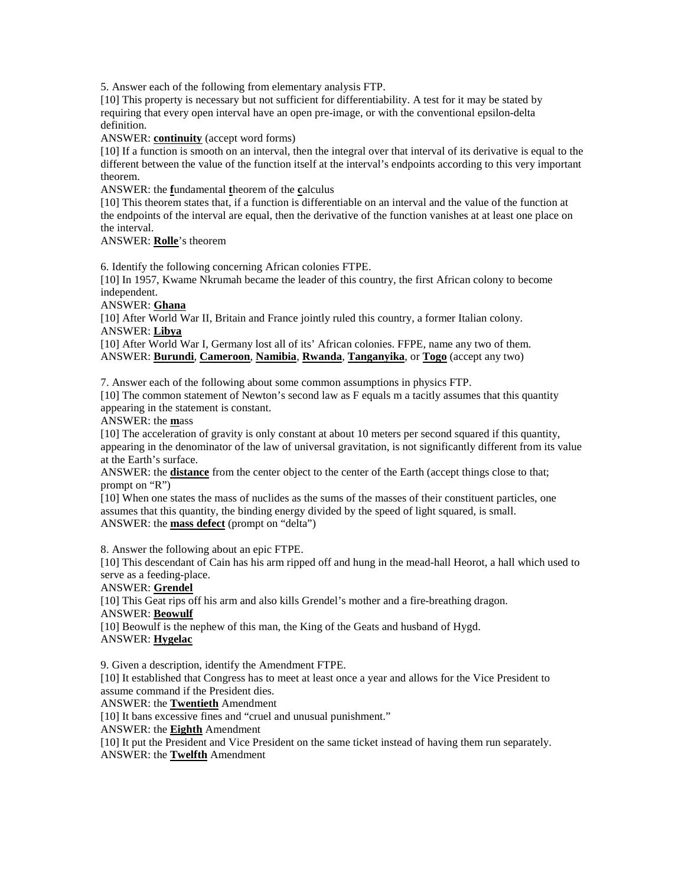5. Answer each of the following from elementary analysis FTP.

[10] This property is necessary but not sufficient for differentiability. A test for it may be stated by requiring that every open interval have an open pre-image, or with the conventional epsilon-delta definition.

ANSWER: **continuity** (accept word forms)

[10] If a function is smooth on an interval, then the integral over that interval of its derivative is equal to the different between the value of the function itself at the interval's endpoints according to this very important theorem.

ANSWER: the **f**undamental **t**heorem of the **c**alculus

[10] This theorem states that, if a function is differentiable on an interval and the value of the function at the endpoints of the interval are equal, then the derivative of the function vanishes at at least one place on the interval.

### ANSWER: **Rolle**'s theorem

6. Identify the following concerning African colonies FTPE.

[10] In 1957, Kwame Nkrumah became the leader of this country, the first African colony to become independent.

ANSWER: **Ghana**

[10] After World War II, Britain and France jointly ruled this country, a former Italian colony. ANSWER: **Libya**

[10] After World War I, Germany lost all of its' African colonies. FFPE, name any two of them. ANSWER: **Burundi**, **Cameroon**, **Namibia**, **Rwanda**, **Tanganyika**, or **Togo** (accept any two)

7. Answer each of the following about some common assumptions in physics FTP.

[10] The common statement of Newton's second law as F equals m a tacitly assumes that this quantity appearing in the statement is constant.

ANSWER: the **m**ass

[10] The acceleration of gravity is only constant at about 10 meters per second squared if this quantity, appearing in the denominator of the law of universal gravitation, is not significantly different from its value at the Earth's surface.

ANSWER: the **distance** from the center object to the center of the Earth (accept things close to that; prompt on "R")

[10] When one states the mass of nuclides as the sums of the masses of their constituent particles, one assumes that this quantity, the binding energy divided by the speed of light squared, is small. ANSWER: the **mass defect** (prompt on "delta")

8. Answer the following about an epic FTPE.

[10] This descendant of Cain has his arm ripped off and hung in the mead-hall Heorot, a hall which used to serve as a feeding-place.

ANSWER: **Grendel**

[10] This Geat rips off his arm and also kills Grendel's mother and a fire-breathing dragon. ANSWER: **Beowulf**

[10] Beowulf is the nephew of this man, the King of the Geats and husband of Hygd. ANSWER: **Hygelac**

9. Given a description, identify the Amendment FTPE. [10] It established that Congress has to meet at least once a year and allows for the Vice President to assume command if the President dies. ANSWER: the **Twentieth** Amendment

[10] It bans excessive fines and "cruel and unusual punishment."

ANSWER: the **Eighth** Amendment

[10] It put the President and Vice President on the same ticket instead of having them run separately. ANSWER: the **Twelfth** Amendment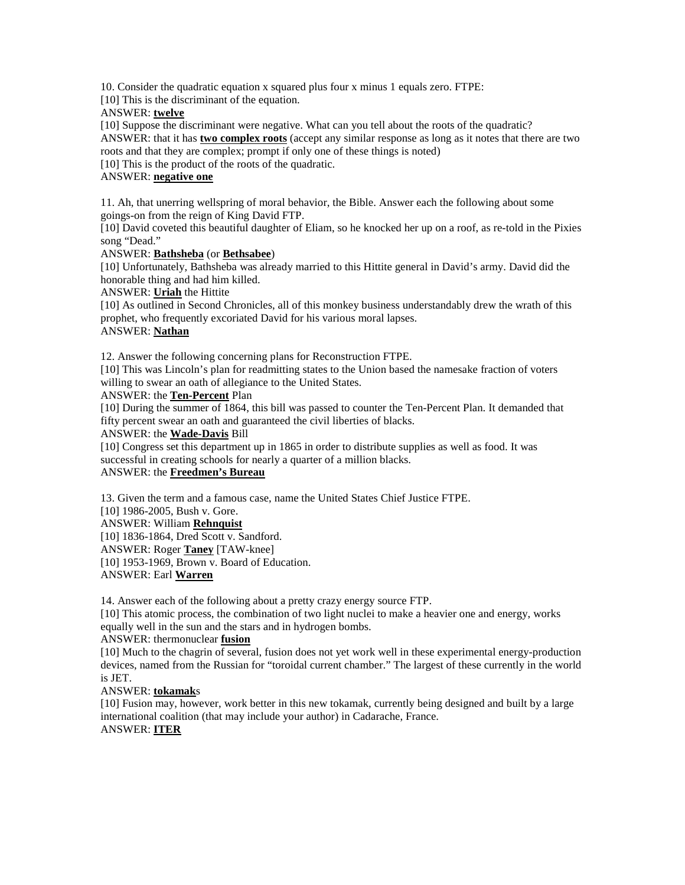10. Consider the quadratic equation x squared plus four x minus 1 equals zero. FTPE:

[10] This is the discriminant of the equation.

ANSWER: **twelve**

[10] Suppose the discriminant were negative. What can you tell about the roots of the quadratic? ANSWER: that it has **two complex roots** (accept any similar response as long as it notes that there are two roots and that they are complex; prompt if only one of these things is noted)

[10] This is the product of the roots of the quadratic.

## ANSWER: **negative one**

11. Ah, that unerring wellspring of moral behavior, the Bible. Answer each the following about some goings-on from the reign of King David FTP.

[10] David coveted this beautiful daughter of Eliam, so he knocked her up on a roof, as re-told in the Pixies song "Dead."

### ANSWER: **Bathsheba** (or **Bethsabee**)

[10] Unfortunately, Bathsheba was already married to this Hittite general in David's army. David did the honorable thing and had him killed.

#### ANSWER: **Uriah** the Hittite

[10] As outlined in Second Chronicles, all of this monkey business understandably drew the wrath of this prophet, who frequently excoriated David for his various moral lapses. ANSWER: **Nathan**

### 12. Answer the following concerning plans for Reconstruction FTPE.

[10] This was Lincoln's plan for readmitting states to the Union based the namesake fraction of voters willing to swear an oath of allegiance to the United States.

### ANSWER: the **Ten-Percent** Plan

[10] During the summer of 1864, this bill was passed to counter the Ten-Percent Plan. It demanded that fifty percent swear an oath and guaranteed the civil liberties of blacks.

### ANSWER: the **Wade-Davis** Bill

[10] Congress set this department up in 1865 in order to distribute supplies as well as food. It was successful in creating schools for nearly a quarter of a million blacks.

# ANSWER: the **Freedmen's Bureau**

13. Given the term and a famous case, name the United States Chief Justice FTPE.

[10] 1986-2005, Bush v. Gore.

# ANSWER: William **Rehnquist**

[10] 1836-1864, Dred Scott v. Sandford.

ANSWER: Roger **Taney** [TAW-knee]

[10] 1953-1969, Brown v. Board of Education.

#### ANSWER: Earl **Warren**

14. Answer each of the following about a pretty crazy energy source FTP.

[10] This atomic process, the combination of two light nuclei to make a heavier one and energy, works equally well in the sun and the stars and in hydrogen bombs.

## ANSWER: thermonuclear **fusion**

[10] Much to the chagrin of several, fusion does not yet work well in these experimental energy-production devices, named from the Russian for "toroidal current chamber." The largest of these currently in the world is JET.

## ANSWER: **tokamak**s

[10] Fusion may, however, work better in this new tokamak, currently being designed and built by a large international coalition (that may include your author) in Cadarache, France.

## ANSWER: **ITER**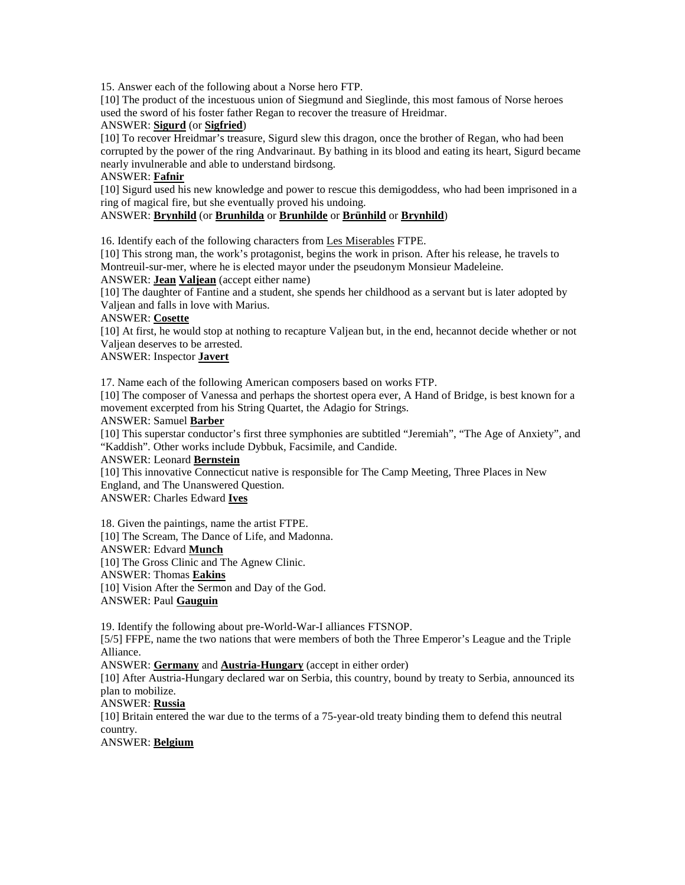15. Answer each of the following about a Norse hero FTP.

[10] The product of the incestuous union of Siegmund and Sieglinde, this most famous of Norse heroes used the sword of his foster father Regan to recover the treasure of Hreidmar.

## ANSWER: **Sigurd** (or **Sigfried**)

[10] To recover Hreidmar's treasure, Sigurd slew this dragon, once the brother of Regan, who had been corrupted by the power of the ring Andvarinaut. By bathing in its blood and eating its heart, Sigurd became nearly invulnerable and able to understand birdsong.

### ANSWER: **Fafnir**

[10] Sigurd used his new knowledge and power to rescue this demigoddess, who had been imprisoned in a ring of magical fire, but she eventually proved his undoing.

# ANSWER: **Brynhild** (or **Brunhilda** or **Brunhilde** or **Brünhild** or **Brynhild**)

16. Identify each of the following characters from Les Miserables FTPE.

[10] This strong man, the work's protagonist, begins the work in prison. After his release, he travels to Montreuil-sur-mer, where he is elected mayor under the pseudonym Monsieur Madeleine.

ANSWER: **Jean Valjean** (accept either name)

[10] The daughter of Fantine and a student, she spends her childhood as a servant but is later adopted by Valjean and falls in love with Marius.

## ANSWER: **Cosette**

[10] At first, he would stop at nothing to recapture Valjean but, in the end, hecannot decide whether or not Valjean deserves to be arrested.

# ANSWER: Inspector **Javert**

17. Name each of the following American composers based on works FTP.

[10] The composer of Vanessa and perhaps the shortest opera ever, A Hand of Bridge, is best known for a movement excerpted from his String Quartet, the Adagio for Strings.

# ANSWER: Samuel **Barber**

[10] This superstar conductor's first three symphonies are subtitled "Jeremiah", "The Age of Anxiety", and "Kaddish". Other works include Dybbuk, Facsimile, and Candide.

#### ANSWER: Leonard **Bernstein**

[10] This innovative Connecticut native is responsible for The Camp Meeting, Three Places in New England, and The Unanswered Question.

ANSWER: Charles Edward **Ives**

18. Given the paintings, name the artist FTPE. [10] The Scream, The Dance of Life, and Madonna. ANSWER: Edvard **Munch** [10] The Gross Clinic and The Agnew Clinic. ANSWER: Thomas **Eakins** [10] Vision After the Sermon and Day of the God. ANSWER: Paul **Gauguin**

19. Identify the following about pre-World-War-I alliances FTSNOP.

[5/5] FFPE, name the two nations that were members of both the Three Emperor's League and the Triple Alliance.

ANSWER: **Germany** and **Austria-Hungary** (accept in either order)

[10] After Austria-Hungary declared war on Serbia, this country, bound by treaty to Serbia, announced its plan to mobilize.

## ANSWER: **Russia**

[10] Britain entered the war due to the terms of a 75-year-old treaty binding them to defend this neutral country.

ANSWER: **Belgium**